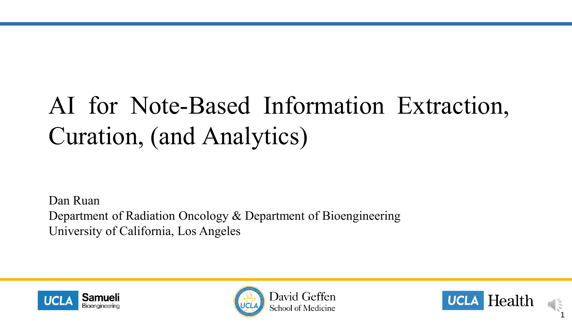# AI for Note-Based Information Extraction, Curation, (and Analytics)

Dan Ruan Department of Radiation Oncology & Department of Bioengineering University of California, Los Angeles





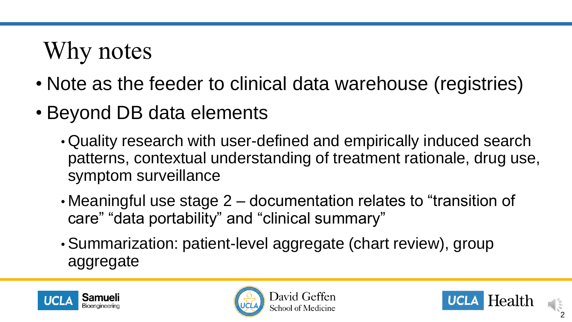# Why notes

- Note as the feeder to clinical data warehouse (registries)
- Beyond DB data elements
	- Quality research with user-defined and empirically induced search patterns, contextual understanding of treatment rationale, drug use, symptom surveillance
	- Meaningful use stage 2 documentation relates to "transition of care" "data portability" and "clinical summary"
	- Summarization: patient-level aggregate (chart review), group aggregate





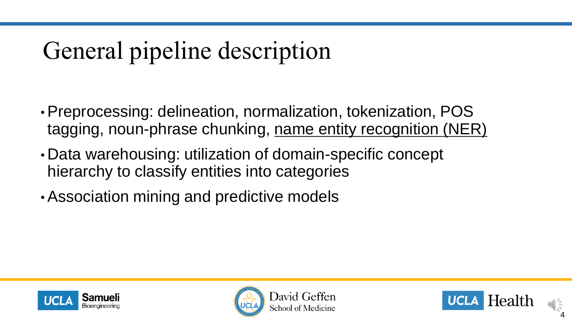# General pipeline description

- Preprocessing: delineation, normalization, tokenization, POS tagging, noun-phrase chunking, name entity recognition (NER)
- Data warehousing: utilization of domain-specific concept hierarchy to classify entities into categories
- Association mining and predictive models





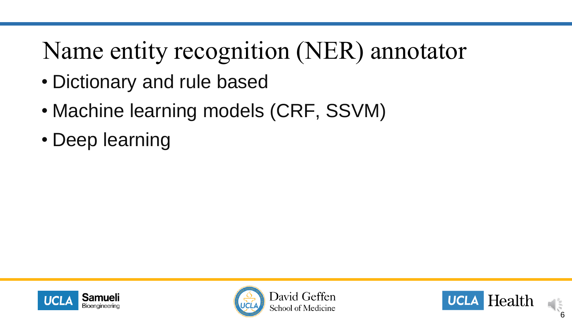## Name entity recognition (NER) annotator

- Dictionary and rule based
- Machine learning models (CRF, SSVM)
- Deep learning





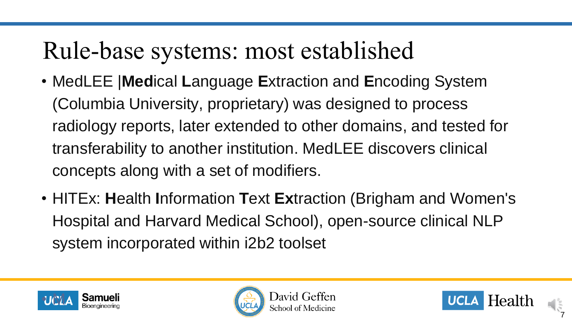### Rule-base systems: most established

- MedLEE |**Med**ical **L**anguage **E**xtraction and **E**ncoding System (Columbia University, proprietary) was designed to process radiology reports, later extended to other domains, and tested for transferability to another institution. MedLEE discovers clinical concepts along with a set of modifiers.
- HITEx: **H**ealth **I**nformation **T**ext **Ex**traction (Brigham and Women's Hospital and Harvard Medical School), open-source clinical NLP system incorporated within i2b2 toolset





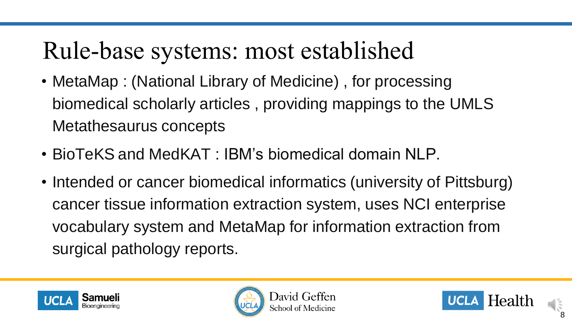## Rule-base systems: most established

- MetaMap : (National Library of Medicine) , for processing biomedical scholarly articles , providing mappings to the UMLS Metathesaurus concepts
- BioTeKS and MedKAT : IBM's biomedical domain NLP.
- Intended or cancer biomedical informatics (university of Pittsburg) cancer tissue information extraction system, uses NCI enterprise vocabulary system and MetaMap for information extraction from surgical pathology reports.







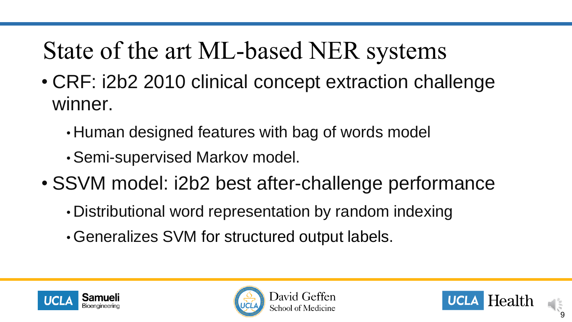# State of the art ML-based NER systems

- CRF: i2b2 2010 clinical concept extraction challenge winner.
	- Human designed features with bag of words model
	- Semi-supervised Markov model.
- SSVM model: i2b2 best after-challenge performance
	- Distributional word representation by random indexing
	- Generalizes SVM for structured output labels.







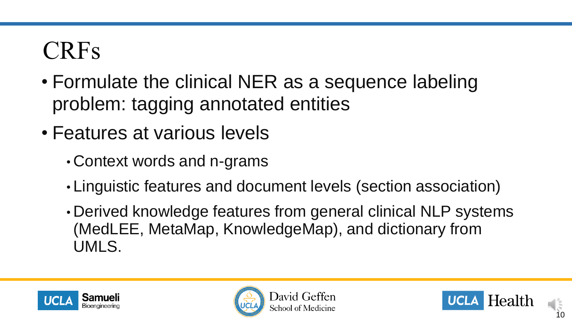#### CRFs

- Formulate the clinical NER as a sequence labeling problem: tagging annotated entities
- Features at various levels
	- Context words and n-grams
	- Linguistic features and document levels (section association)
	- Derived knowledge features from general clinical NLP systems (MedLEE, MetaMap, KnowledgeMap), and dictionary from UMLS.





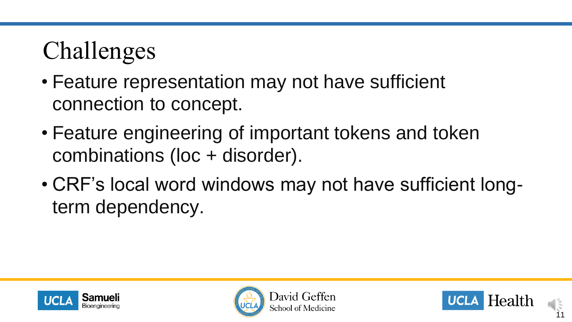# Challenges

- Feature representation may not have sufficient connection to concept.
- Feature engineering of important tokens and token combinations (loc + disorder).
- CRF's local word windows may not have sufficient longterm dependency.





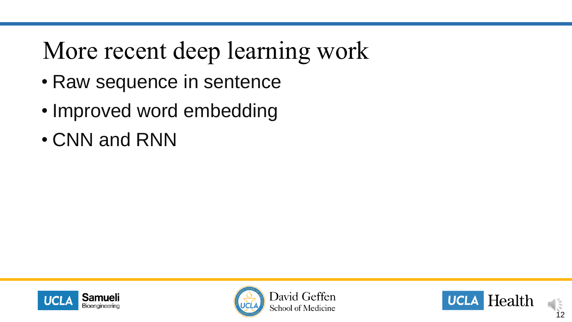## More recent deep learning work

- Raw sequence in sentence
- Improved word embedding
- CNN and RNN





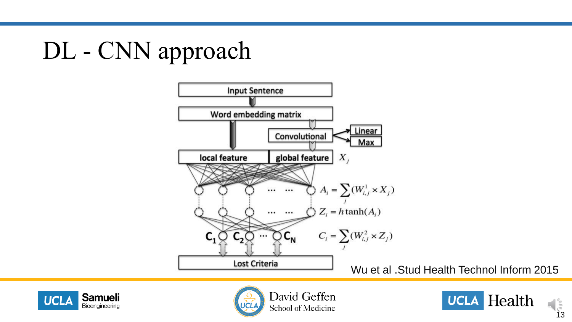## DL - CNN approach







David Geffen School of Medicine

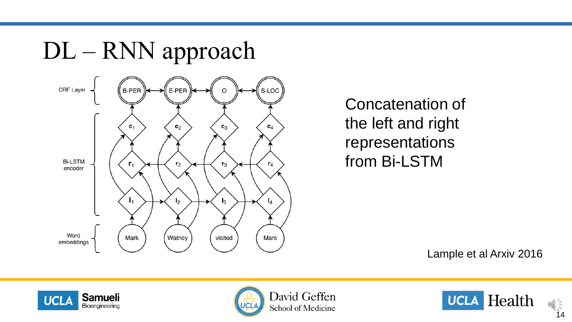

Concatenation of the left and right representations from Bi-LSTM

Lample et al Arxiv 2016





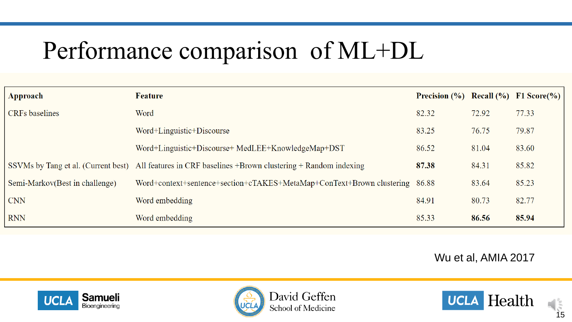# Performance comparison of ML+DL

| Approach                       | Feature                                                                                               | <b>Precision</b> $(\%)$ Recall $(\%)$ F1 Score $(\%)$ |       |       |
|--------------------------------|-------------------------------------------------------------------------------------------------------|-------------------------------------------------------|-------|-------|
| <b>CRFs</b> baselines          | Word                                                                                                  | 82.32                                                 | 72.92 | 77.33 |
|                                | Word+Linguistic+Discourse                                                                             | 83.25                                                 | 76.75 | 79.87 |
|                                | Word+Linguistic+Discourse+ MedLEE+KnowledgeMap+DST                                                    | 86.52                                                 | 81.04 | 83.60 |
|                                | SSVMs by Tang et al. (Current best) All features in CRF baselines +Brown clustering + Random indexing | 87.38                                                 | 84.31 | 85.82 |
| Semi-Markov(Best in challenge) | Word+context+sentence+section+cTAKES+MetaMap+ConText+Brown clustering                                 | 86.88                                                 | 83.64 | 85.23 |
| <b>CNN</b>                     | Word embedding                                                                                        | 84.91                                                 | 80.73 | 82.77 |
| <b>RNN</b>                     | Word embedding                                                                                        | 85.33                                                 | 86.56 | 85.94 |

Wu et al, AMIA 2017





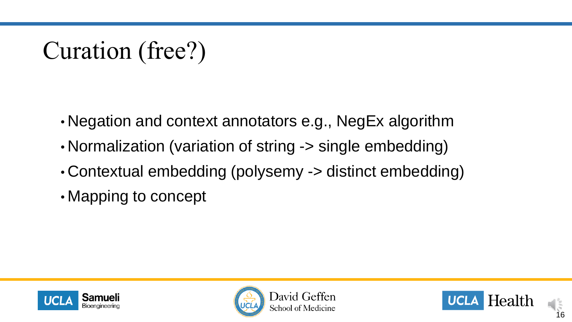### Curation (free?)

- Negation and context annotators e.g., NegEx algorithm
- Normalization (variation of string -> single embedding)
- Contextual embedding (polysemy -> distinct embedding)
- Mapping to concept





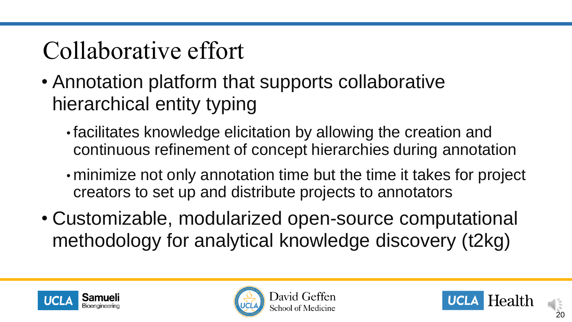# Collaborative effort

- Annotation platform that supports collaborative hierarchical entity typing
	- facilitates knowledge elicitation by allowing the creation and continuous refinement of concept hierarchies during annotation
	- minimize not only annotation time but the time it takes for project creators to set up and distribute projects to annotators
- Customizable, modularized open-source computational methodology for analytical knowledge discovery (t2kg)